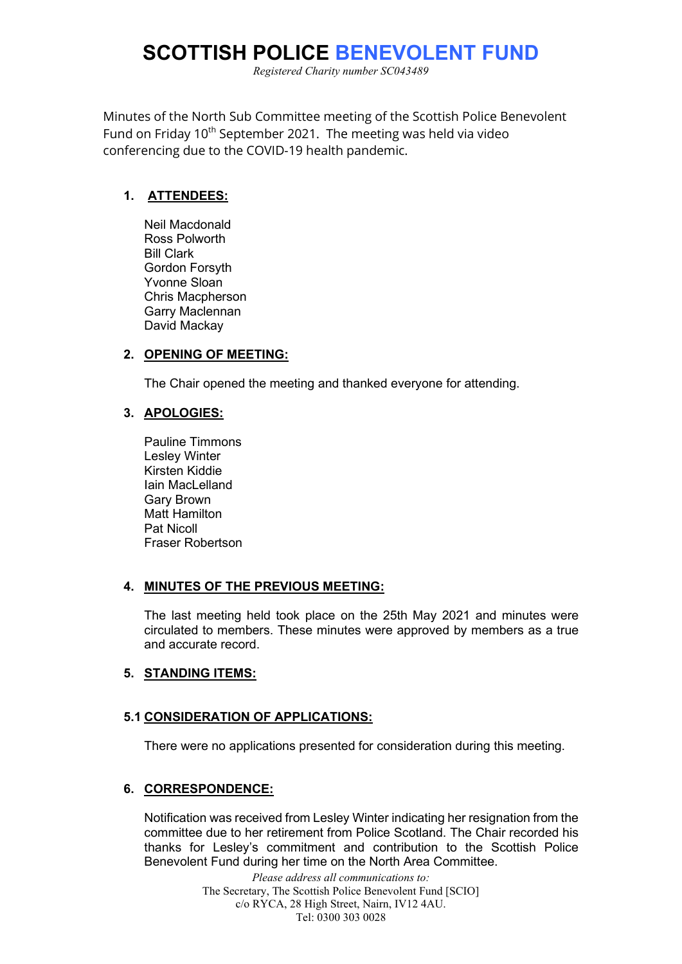# **SCOTTISH POLICE BENEVOLENT FUND**

*Registered Charity number SC043489*

Minutes of the North Sub Committee meeting of the Scottish Police Benevolent Fund on Friday 10<sup>th</sup> September 2021. The meeting was held via video conferencing due to the COVID-19 health pandemic.

#### **1. ATTENDEES:**

Neil Macdonald Ross Polworth Bill Clark Gordon Forsyth Yvonne Sloan Chris Macpherson Garry Maclennan David Mackay

### **2. OPENING OF MEETING:**

The Chair opened the meeting and thanked everyone for attending.

### **3. APOLOGIES:**

Pauline Timmons Lesley Winter Kirsten Kiddie Iain MacLelland Gary Brown Matt Hamilton Pat Nicoll Fraser Robertson

### **4. MINUTES OF THE PREVIOUS MEETING:**

The last meeting held took place on the 25th May 2021 and minutes were circulated to members. These minutes were approved by members as a true and accurate record.

### **5. STANDING ITEMS:**

### **5.1 CONSIDERATION OF APPLICATIONS:**

There were no applications presented for consideration during this meeting.

### **6. CORRESPONDENCE:**

Notification was received from Lesley Winter indicating her resignation from the committee due to her retirement from Police Scotland. The Chair recorded his thanks for Lesley's commitment and contribution to the Scottish Police Benevolent Fund during her time on the North Area Committee.

> *Please address all communications to:* The Secretary, The Scottish Police Benevolent Fund [SCIO] c/o RYCA, 28 High Street, Nairn, IV12 4AU. Tel: 0300 303 0028